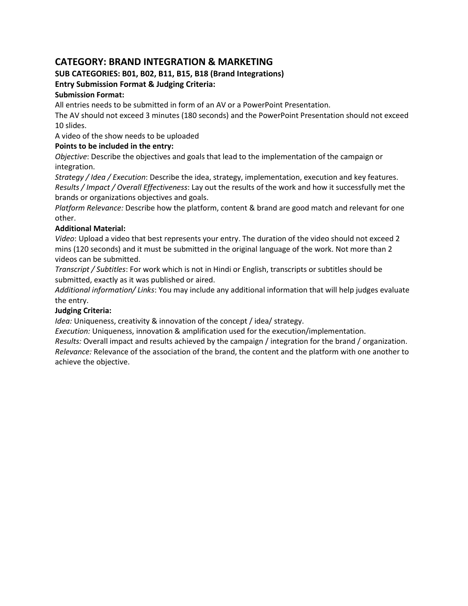# **CATEGORY: BRAND INTEGRATION & MARKETING**

# **SUB CATEGORIES: B01, B02, B11, B15, B18 (Brand Integrations)**

# **Entry Submission Format & Judging Criteria:**

# **Submission Format:**

All entries needs to be submitted in form of an AV or a PowerPoint Presentation.

The AV should not exceed 3 minutes (180 seconds) and the PowerPoint Presentation should not exceed 10 slides.

A video of the show needs to be uploaded

# **Points to be included in the entry:**

*Objective*: Describe the objectives and goals that lead to the implementation of the campaign or integration.

*Strategy / Idea / Execution*: Describe the idea, strategy, implementation, execution and key features. *Results / Impact / Overall Effectiveness*: Lay out the results of the work and how it successfully met the brands or organizations objectives and goals.

*Platform Relevance:* Describe how the platform, content & brand are good match and relevant for one other.

# **Additional Material:**

*Video*: Upload a video that best represents your entry. The duration of the video should not exceed 2 mins (120 seconds) and it must be submitted in the original language of the work. Not more than 2 videos can be submitted.

*Transcript / Subtitles*: For work which is not in Hindi or English, transcripts or subtitles should be submitted, exactly as it was published or aired.

*Additional information/ Links*: You may include any additional information that will help judges evaluate the entry.

# **Judging Criteria:**

*Idea:* Uniqueness, creativity & innovation of the concept / idea/ strategy.

*Execution:* Uniqueness, innovation & amplification used for the execution/implementation.

*Results:* Overall impact and results achieved by the campaign / integration for the brand / organization. *Relevance:* Relevance of the association of the brand, the content and the platform with one another to achieve the objective.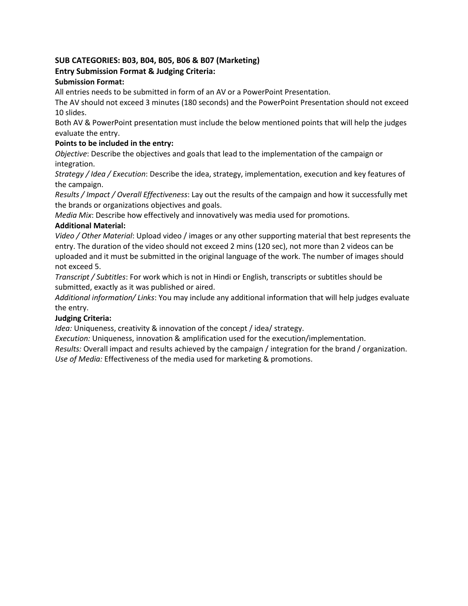# **SUB CATEGORIES: B03, B04, B05, B06 & B07 (Marketing)**

# **Entry Submission Format & Judging Criteria:**

# **Submission Format:**

All entries needs to be submitted in form of an AV or a PowerPoint Presentation.

The AV should not exceed 3 minutes (180 seconds) and the PowerPoint Presentation should not exceed 10 slides.

Both AV & PowerPoint presentation must include the below mentioned points that will help the judges evaluate the entry.

# **Points to be included in the entry:**

*Objective*: Describe the objectives and goals that lead to the implementation of the campaign or integration.

*Strategy / Idea / Execution*: Describe the idea, strategy, implementation, execution and key features of the campaign.

*Results / Impact / Overall Effectiveness*: Lay out the results of the campaign and how it successfully met the brands or organizations objectives and goals.

*Media Mix*: Describe how effectively and innovatively was media used for promotions.

### **Additional Material:**

*Video / Other Material*: Upload video / images or any other supporting material that best represents the entry. The duration of the video should not exceed 2 mins (120 sec), not more than 2 videos can be uploaded and it must be submitted in the original language of the work. The number of images should not exceed 5.

*Transcript / Subtitles*: For work which is not in Hindi or English, transcripts or subtitles should be submitted, exactly as it was published or aired.

*Additional information/ Links*: You may include any additional information that will help judges evaluate the entry.

# **Judging Criteria:**

*Idea:* Uniqueness, creativity & innovation of the concept / idea/ strategy.

*Execution:* Uniqueness, innovation & amplification used for the execution/implementation.

*Results:* Overall impact and results achieved by the campaign / integration for the brand / organization. *Use of Media:* Effectiveness of the media used for marketing & promotions.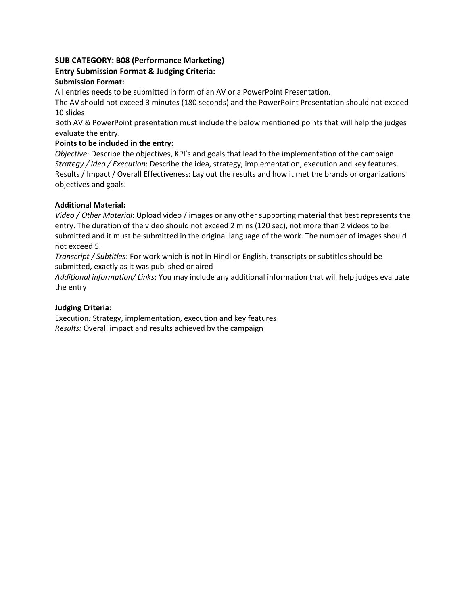# **SUB CATEGORY: B08 (Performance Marketing)**

# **Entry Submission Format & Judging Criteria:**

# **Submission Format:**

All entries needs to be submitted in form of an AV or a PowerPoint Presentation.

The AV should not exceed 3 minutes (180 seconds) and the PowerPoint Presentation should not exceed 10 slides

Both AV & PowerPoint presentation must include the below mentioned points that will help the judges evaluate the entry.

# **Points to be included in the entry:**

*Objective*: Describe the objectives, KPI's and goals that lead to the implementation of the campaign *Strategy / Idea / Execution*: Describe the idea, strategy, implementation, execution and key features. Results / Impact / Overall Effectiveness: Lay out the results and how it met the brands or organizations objectives and goals.

### **Additional Material:**

*Video / Other Material*: Upload video / images or any other supporting material that best represents the entry. The duration of the video should not exceed 2 mins (120 sec), not more than 2 videos to be submitted and it must be submitted in the original language of the work. The number of images should not exceed 5.

*Transcript / Subtitles*: For work which is not in Hindi or English, transcripts or subtitles should be submitted, exactly as it was published or aired

*Additional information/ Links*: You may include any additional information that will help judges evaluate the entry

# **Judging Criteria:**

Execution*:* Strategy, implementation, execution and key features *Results:* Overall impact and results achieved by the campaign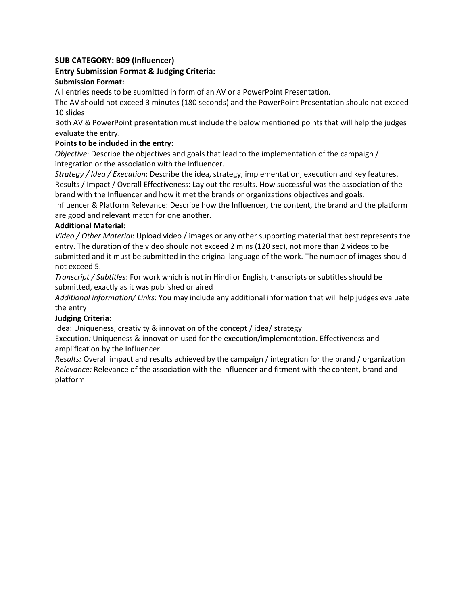### **SUB CATEGORY: B09 (Influencer)**

### **Entry Submission Format & Judging Criteria:**

### **Submission Format:**

All entries needs to be submitted in form of an AV or a PowerPoint Presentation.

The AV should not exceed 3 minutes (180 seconds) and the PowerPoint Presentation should not exceed 10 slides

Both AV & PowerPoint presentation must include the below mentioned points that will help the judges evaluate the entry.

### **Points to be included in the entry:**

*Objective*: Describe the objectives and goals that lead to the implementation of the campaign / integration or the association with the Influencer.

*Strategy / Idea / Execution*: Describe the idea, strategy, implementation, execution and key features. Results / Impact / Overall Effectiveness: Lay out the results. How successful was the association of the brand with the Influencer and how it met the brands or organizations objectives and goals.

Influencer & Platform Relevance: Describe how the Influencer, the content, the brand and the platform are good and relevant match for one another.

#### **Additional Material:**

*Video / Other Material*: Upload video / images or any other supporting material that best represents the entry. The duration of the video should not exceed 2 mins (120 sec), not more than 2 videos to be submitted and it must be submitted in the original language of the work. The number of images should not exceed 5.

*Transcript / Subtitles*: For work which is not in Hindi or English, transcripts or subtitles should be submitted, exactly as it was published or aired

*Additional information/ Links*: You may include any additional information that will help judges evaluate the entry

#### **Judging Criteria:**

Idea: Uniqueness, creativity & innovation of the concept / idea/ strategy

Execution*:* Uniqueness & innovation used for the execution/implementation. Effectiveness and amplification by the Influencer

*Results:* Overall impact and results achieved by the campaign / integration for the brand / organization *Relevance:* Relevance of the association with the Influencer and fitment with the content, brand and platform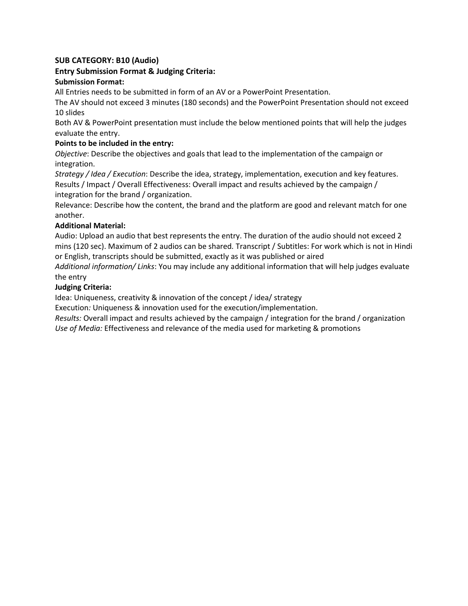### **SUB CATEGORY: B10 (Audio)**

# **Entry Submission Format & Judging Criteria:**

### **Submission Format:**

All Entries needs to be submitted in form of an AV or a PowerPoint Presentation.

The AV should not exceed 3 minutes (180 seconds) and the PowerPoint Presentation should not exceed 10 slides

Both AV & PowerPoint presentation must include the below mentioned points that will help the judges evaluate the entry.

### **Points to be included in the entry:**

*Objective*: Describe the objectives and goals that lead to the implementation of the campaign or integration.

*Strategy / Idea / Execution*: Describe the idea, strategy, implementation, execution and key features. Results / Impact / Overall Effectiveness: Overall impact and results achieved by the campaign / integration for the brand / organization.

Relevance: Describe how the content, the brand and the platform are good and relevant match for one another.

#### **Additional Material:**

Audio: Upload an audio that best represents the entry. The duration of the audio should not exceed 2 mins (120 sec). Maximum of 2 audios can be shared*.* Transcript / Subtitles: For work which is not in Hindi or English, transcripts should be submitted, exactly as it was published or aired

*Additional information/ Links*: You may include any additional information that will help judges evaluate the entry

### **Judging Criteria:**

Idea: Uniqueness, creativity & innovation of the concept / idea/ strategy

Execution*:* Uniqueness & innovation used for the execution/implementation.

*Results:* Overall impact and results achieved by the campaign / integration for the brand / organization *Use of Media:* Effectiveness and relevance of the media used for marketing & promotions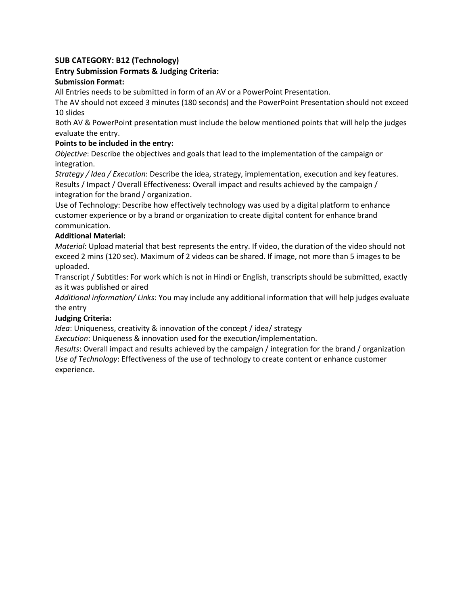# **SUB CATEGORY: B12 (Technology)**

# **Entry Submission Formats & Judging Criteria:**

# **Submission Format:**

All Entries needs to be submitted in form of an AV or a PowerPoint Presentation.

The AV should not exceed 3 minutes (180 seconds) and the PowerPoint Presentation should not exceed 10 slides

Both AV & PowerPoint presentation must include the below mentioned points that will help the judges evaluate the entry.

### **Points to be included in the entry:**

*Objective*: Describe the objectives and goals that lead to the implementation of the campaign or integration.

*Strategy / Idea / Execution*: Describe the idea, strategy, implementation, execution and key features. Results / Impact / Overall Effectiveness: Overall impact and results achieved by the campaign / integration for the brand / organization.

Use of Technology: Describe how effectively technology was used by a digital platform to enhance customer experience or by a brand or organization to create digital content for enhance brand communication.

### **Additional Material:**

*Material*: Upload material that best represents the entry. If video, the duration of the video should not exceed 2 mins (120 sec). Maximum of 2 videos can be shared. If image, not more than 5 images to be uploaded.

Transcript / Subtitles: For work which is not in Hindi or English, transcripts should be submitted, exactly as it was published or aired

*Additional information/ Links*: You may include any additional information that will help judges evaluate the entry

#### **Judging Criteria:**

*Idea*: Uniqueness, creativity & innovation of the concept / idea/ strategy

*Execution*: Uniqueness & innovation used for the execution/implementation.

*Results*: Overall impact and results achieved by the campaign / integration for the brand / organization *Use of Technology*: Effectiveness of the use of technology to create content or enhance customer experience.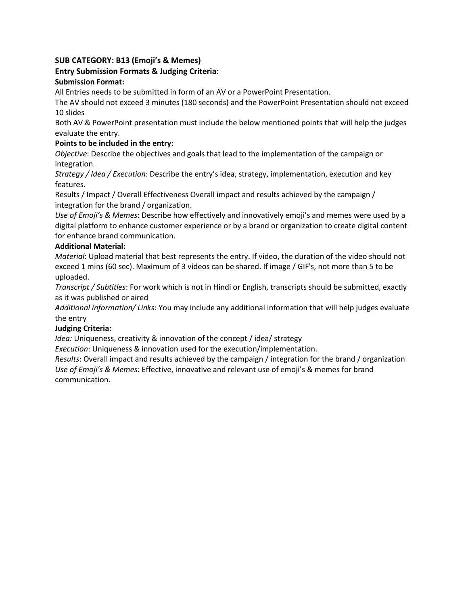# **SUB CATEGORY: B13 (Emoji's & Memes)**

# **Entry Submission Formats & Judging Criteria:**

### **Submission Format:**

All Entries needs to be submitted in form of an AV or a PowerPoint Presentation.

The AV should not exceed 3 minutes (180 seconds) and the PowerPoint Presentation should not exceed 10 slides

Both AV & PowerPoint presentation must include the below mentioned points that will help the judges evaluate the entry.

### **Points to be included in the entry:**

*Objective*: Describe the objectives and goals that lead to the implementation of the campaign or integration.

*Strategy / Idea / Execution*: Describe the entry's idea, strategy, implementation, execution and key features.

Results / Impact / Overall Effectiveness Overall impact and results achieved by the campaign / integration for the brand / organization.

*Use of Emoji's & Memes*: Describe how effectively and innovatively emoji's and memes were used by a digital platform to enhance customer experience or by a brand or organization to create digital content for enhance brand communication.

### **Additional Material:**

*Material*: Upload material that best represents the entry. If video, the duration of the video should not exceed 1 mins (60 sec). Maximum of 3 videos can be shared. If image / GIF's, not more than 5 to be uploaded.

*Transcript / Subtitles*: For work which is not in Hindi or English, transcripts should be submitted, exactly as it was published or aired

*Additional information/ Links*: You may include any additional information that will help judges evaluate the entry

#### **Judging Criteria:**

*Idea:* Uniqueness, creativity & innovation of the concept / idea/ strategy

*Execution*: Uniqueness & innovation used for the execution/implementation.

*Results*: Overall impact and results achieved by the campaign / integration for the brand / organization *Use of Emoji's & Memes*: Effective, innovative and relevant use of emoji's & memes for brand communication.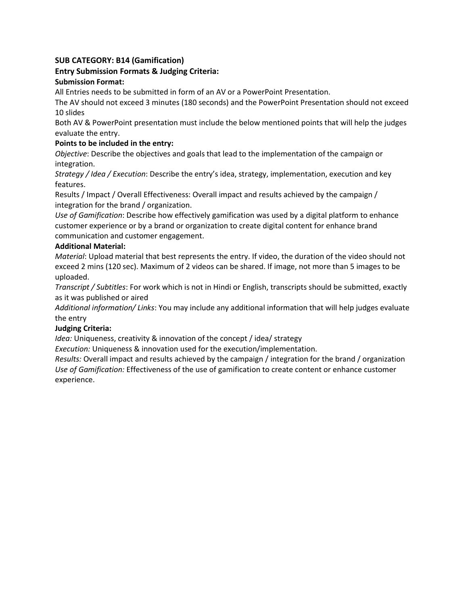# **SUB CATEGORY: B14 (Gamification)**

# **Entry Submission Formats & Judging Criteria:**

### **Submission Format:**

All Entries needs to be submitted in form of an AV or a PowerPoint Presentation.

The AV should not exceed 3 minutes (180 seconds) and the PowerPoint Presentation should not exceed 10 slides

Both AV & PowerPoint presentation must include the below mentioned points that will help the judges evaluate the entry.

### **Points to be included in the entry:**

*Objective*: Describe the objectives and goals that lead to the implementation of the campaign or integration.

*Strategy / Idea / Execution*: Describe the entry's idea, strategy, implementation, execution and key features.

Results / Impact / Overall Effectiveness: Overall impact and results achieved by the campaign / integration for the brand / organization.

*Use of Gamification*: Describe how effectively gamification was used by a digital platform to enhance customer experience or by a brand or organization to create digital content for enhance brand communication and customer engagement.

### **Additional Material:**

*Material*: Upload material that best represents the entry. If video, the duration of the video should not exceed 2 mins (120 sec). Maximum of 2 videos can be shared. If image, not more than 5 images to be uploaded.

*Transcript / Subtitles*: For work which is not in Hindi or English, transcripts should be submitted, exactly as it was published or aired

*Additional information/ Links*: You may include any additional information that will help judges evaluate the entry

#### **Judging Criteria:**

*Idea:* Uniqueness, creativity & innovation of the concept / idea/ strategy

*Execution:* Uniqueness & innovation used for the execution/implementation.

*Results:* Overall impact and results achieved by the campaign / integration for the brand / organization *Use of Gamification:* Effectiveness of the use of gamification to create content or enhance customer experience.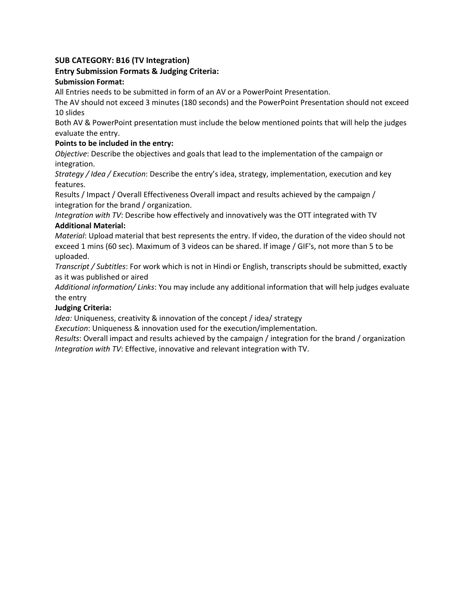# **SUB CATEGORY: B16 (TV Integration)**

# **Entry Submission Formats & Judging Criteria:**

### **Submission Format:**

All Entries needs to be submitted in form of an AV or a PowerPoint Presentation.

The AV should not exceed 3 minutes (180 seconds) and the PowerPoint Presentation should not exceed 10 slides

Both AV & PowerPoint presentation must include the below mentioned points that will help the judges evaluate the entry.

### **Points to be included in the entry:**

*Objective*: Describe the objectives and goals that lead to the implementation of the campaign or integration.

*Strategy / Idea / Execution*: Describe the entry's idea, strategy, implementation, execution and key features.

Results / Impact / Overall Effectiveness Overall impact and results achieved by the campaign / integration for the brand / organization.

*Integration with TV*: Describe how effectively and innovatively was the OTT integrated with TV **Additional Material:** 

*Material*: Upload material that best represents the entry. If video, the duration of the video should not exceed 1 mins (60 sec). Maximum of 3 videos can be shared. If image / GIF's, not more than 5 to be uploaded.

*Transcript / Subtitles*: For work which is not in Hindi or English, transcripts should be submitted, exactly as it was published or aired

*Additional information/ Links*: You may include any additional information that will help judges evaluate the entry

# **Judging Criteria:**

*Idea:* Uniqueness, creativity & innovation of the concept / idea/ strategy

*Execution*: Uniqueness & innovation used for the execution/implementation.

*Results*: Overall impact and results achieved by the campaign / integration for the brand / organization *Integration with TV*: Effective, innovative and relevant integration with TV.